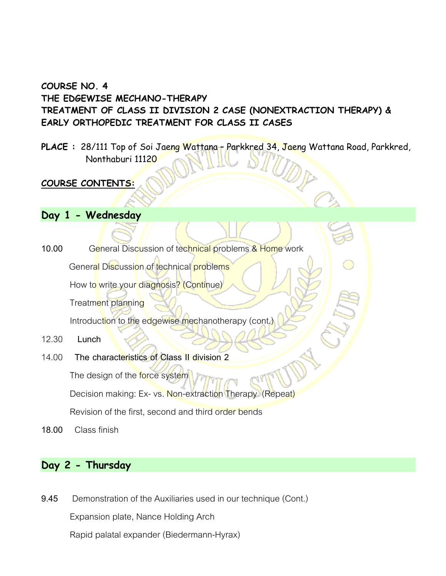# **COURSE NO. 4 THE EDGEWISE MECHANO-THERAPY TREATMENT OF CLASS II DIVISION 2 CASE (NONEXTRACTION THERAPY) & EARLY ORTHOPEDIC TREATMENT FOR CLASS II CASES**

PLACE : 28/111 Top of Soi Jaeng Wattana - Parkkred 34, Jaeng Wattana Road, Parkkred, Nonthaburi 11120

### **COURSE CONTENTS:**

- **Day 1 - Wednesday**
- **10.00** General Discussion of technical problems & Home work General Discussion of technical problems How to write your diagnosis? (Continue) Treatment planning Introduction to the edgewise mechanotherapy (cont.)
- 12.30 **Lunch**
- 14.00 **The characteristics of Class II division 2** The design of the force system Decision making: Ex- vs. Non-extraction Therapy (Repeat) Revision of the first, second and third order bends
- **18.00** Class finish

# **Day 2 - Thursday**

**9.45** Demonstration of the Auxiliaries used in our technique (Cont.)

Expansion plate, Nance Holding Arch

Rapid palatal expander (Biedermann-Hyrax)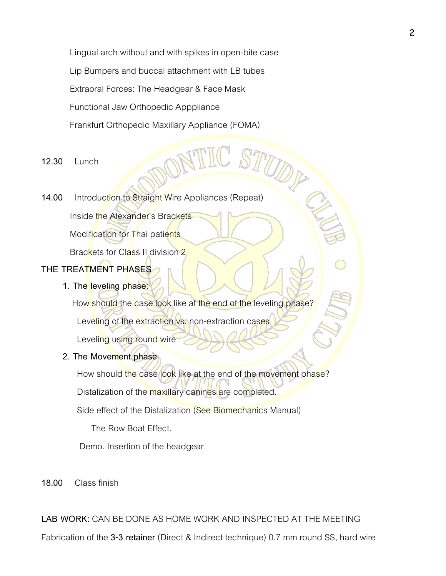Lingual arch without and with spikes in open-bite case Lip Bumpers and buccal attachment with LB tubes Extraoral Forces: The Headgear & Face Mask Functional Jaw Orthopedic Apppliance Frankfurt Orthopedic Maxillary Appliance (FOMA)

- **12.30** Lunch
- **14.00** Introduction to Straight Wire Appliances (Repeat) Inside the Alexander's Brackets

Modification for Thai patients

Brackets for Class II division 2

# **THE TREATMENT PHASES**

**1. The leveling phase:**

How should the case look like at the end of the leveling phase? Leveling of the extraction vs. non-extraction cases

Leveling using round wire

### **2. The Movement phase**

How should the case look like at the end of the movement phase? Distalization of the maxillary canines are completed.

Side effect of the Distalization (See Biomechanics Manual)

The Row Boat Effect.

Demo. Insertion of the headgear

**18.00** Class finish

**LAB WORK:** CAN BE DONE AS HOME WORK AND INSPECTED AT THE MEETING

Fabrication of the **3-3 retainer** (Direct & Indirect technique) 0.7 mm round SS, hard wire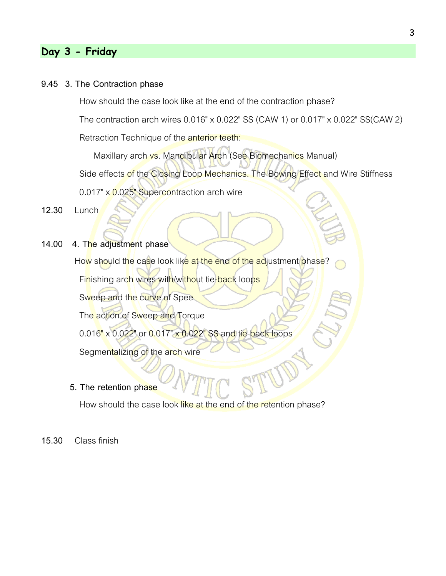## **Day 3 - Friday**

#### **9.45 3. The Contraction phase**

How should the case look like at the end of the contraction phase?

The contraction arch wires 0.016" x 0.022" SS (CAW 1) or 0.017" x 0.022" SS(CAW 2)

Retraction Technique of the anterior teeth:

Maxillary arch vs. Mandibular Arch (See Biomechanics Manual) Side effects of the Closing Loop Mechanics. The Bowing Effect and Wire Stiffness 0.017" x 0.025" Supercontraction arch wire

**12.30** Lunch

- 
- **14.00 4. The adjustment phase**

How should the case look like at the end of the adjustment phase?

Finishing arch wires with/without tie-back loops

Sweep and the curve of Spee

The action of Sweep and Torque

0.016" x 0.022" or 0.017" x 0.022" SS and tie-back loops

Segmentalizing of the arch wire

**5. The retention phase**

How should the case look like at the end of the retention phase?

**15.30** Class finish